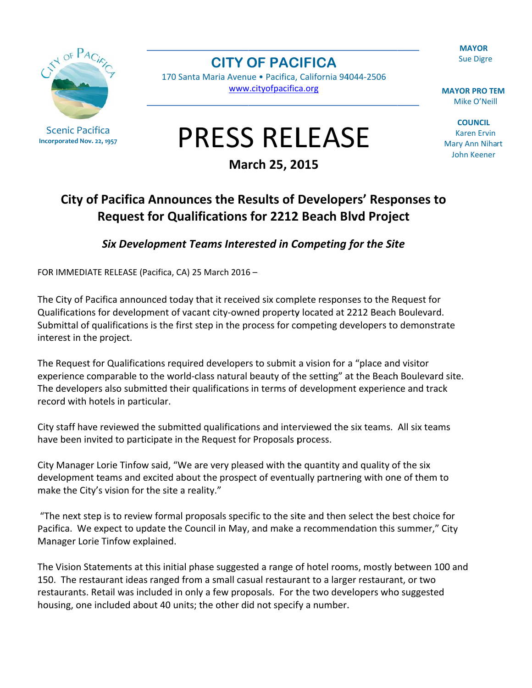**MAYOR Sue Digre** 

**Scenic Pacifica** Incorporated Nov. 22, 1957 **CITY OF PACIFICA** 

170 Santa Maria Avenue · Pacifica, California 94044-2506 www.cityofpacifica.org

**MAYOR PRO TEM** Mike O'Neill

**COUNCIL Karen Ervin Mary Ann Nihart John Keener** 



**March 25, 2015** 

# City of Pacifica Announces the Results of Developers' Responses to **Request for Qualifications for 2212 Beach Blvd Project**

Six Development Teams Interested in Competing for the Site

FOR IMMEDIATE RELEASE (Pacifica, CA) 25 March 2016 -

The City of Pacifica announced today that it received six complete responses to the Request for Qualifications for development of vacant city-owned property located at 2212 Beach Boulevard. Submittal of qualifications is the first step in the process for competing developers to demonstrate interest in the project.

The Request for Qualifications required developers to submit a vision for a "place and visitor experience comparable to the world-class natural beauty of the setting" at the Beach Boulevard site. The developers also submitted their qualifications in terms of development experience and track record with hotels in particular.

City staff have reviewed the submitted qualifications and interviewed the six teams. All six teams have been invited to participate in the Request for Proposals process.

City Manager Lorie Tinfow said, "We are very pleased with the quantity and quality of the six development teams and excited about the prospect of eventually partnering with one of them to make the City's vision for the site a reality."

"The next step is to review formal proposals specific to the site and then select the best choice for Pacifica. We expect to update the Council in May, and make a recommendation this summer," City Manager Lorie Tinfow explained.

The Vision Statements at this initial phase suggested a range of hotel rooms, mostly between 100 and 150. The restaurant ideas ranged from a small casual restaurant to a larger restaurant, or two restaurants. Retail was included in only a few proposals. For the two developers who suggested housing, one included about 40 units; the other did not specify a number.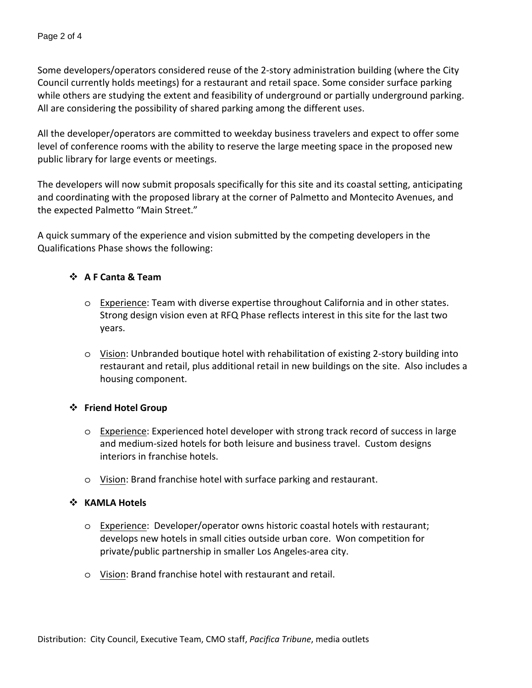Some developers/operators considered reuse of the 2-story administration building (where the City Council currently holds meetings) for a restaurant and retail space. Some consider surface parking while others are studying the extent and feasibility of underground or partially underground parking. All are considering the possibility of shared parking among the different uses.

All the developer/operators are committed to weekday business travelers and expect to offer some level of conference rooms with the ability to reserve the large meeting space in the proposed new public library for large events or meetings.

The developers will now submit proposals specifically for this site and its coastal setting, anticipating and coordinating with the proposed library at the corner of Palmetto and Montecito Avenues, and the expected Palmetto "Main Street."

A quick summary of the experience and vision submitted by the competing developers in the Qualifications Phase shows the following:

# **A F Canta & Team**

- o Experience: Team with diverse expertise throughout California and in other states. Strong design vision even at RFQ Phase reflects interest in this site for the last two years.
- o Vision: Unbranded boutique hotel with rehabilitation of existing 2-story building into restaurant and retail, plus additional retail in new buildings on the site. Also includes a housing component.

# **Friend Hotel Group**

- o Experience: Experienced hotel developer with strong track record of success in large and medium-sized hotels for both leisure and business travel. Custom designs interiors in franchise hotels.
- o Vision: Brand franchise hotel with surface parking and restaurant.

#### **KAMLA Hotels**

- o Experience: Developer/operator owns historic coastal hotels with restaurant; develops new hotels in small cities outside urban core. Won competition for private/public partnership in smaller Los Angeles-area city.
- o Vision: Brand franchise hotel with restaurant and retail.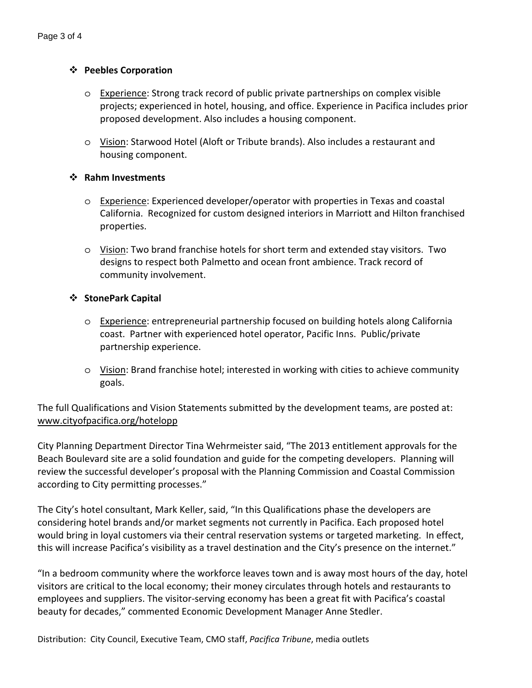## **Peebles Corporation**

- o Experience: Strong track record of public private partnerships on complex visible projects; experienced in hotel, housing, and office. Experience in Pacifica includes prior proposed development. Also includes a housing component.
- o Vision: Starwood Hotel (Aloft or Tribute brands). Also includes a restaurant and housing component.

## **Rahm Investments**

- o Experience: Experienced developer/operator with properties in Texas and coastal California. Recognized for custom designed interiors in Marriott and Hilton franchised properties.
- o Vision: Two brand franchise hotels for short term and extended stay visitors. Two designs to respect both Palmetto and ocean front ambience. Track record of community involvement.

## **StonePark Capital**

- o Experience: entrepreneurial partnership focused on building hotels along California coast. Partner with experienced hotel operator, Pacific Inns. Public/private partnership experience.
- o Vision: Brand franchise hotel; interested in working with cities to achieve community goals.

The full Qualifications and Vision Statements submitted by the development teams, are posted at: www.cityofpacifica.org/hotelopp

City Planning Department Director Tina Wehrmeister said, "The 2013 entitlement approvals for the Beach Boulevard site are a solid foundation and guide for the competing developers. Planning will review the successful developer's proposal with the Planning Commission and Coastal Commission according to City permitting processes."

The City's hotel consultant, Mark Keller, said, "In this Qualifications phase the developers are considering hotel brands and/or market segments not currently in Pacifica. Each proposed hotel would bring in loyal customers via their central reservation systems or targeted marketing. In effect, this will increase Pacifica's visibility as a travel destination and the City's presence on the internet."

"In a bedroom community where the workforce leaves town and is away most hours of the day, hotel visitors are critical to the local economy; their money circulates through hotels and restaurants to employees and suppliers. The visitor-serving economy has been a great fit with Pacifica's coastal beauty for decades," commented Economic Development Manager Anne Stedler.